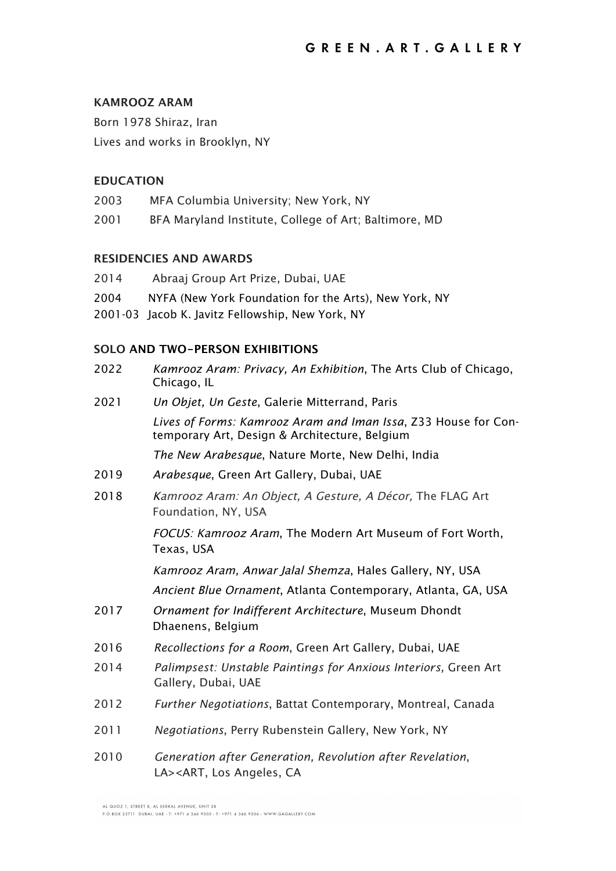# **KAMROOZ ARAM**

Born 1978 Shiraz, Iran Lives and works in Brooklyn, NY

## **EDUCATION**

- 2003 MFA Columbia University; New York, NY
- 2001 BFA Maryland Institute, College of Art; Baltimore, MD

## **RESIDENCIES AND AWARDS**

| 2014 | Abraaj Group Art Prize, Dubai, UAE                    |
|------|-------------------------------------------------------|
| 2004 | NYFA (New York Foundation for the Arts), New York, NY |
|      | 2001-03 Jacob K. Javitz Fellowship, New York, NY      |

# **SOLO AND TWO-PERSON EXHIBITIONS**

| 2022 | Kamrooz Aram: Privacy, An Exhibition, The Arts Club of Chicago,<br>Chicago, IL                                  |
|------|-----------------------------------------------------------------------------------------------------------------|
| 2021 | Un Objet, Un Geste, Galerie Mitterrand, Paris                                                                   |
|      | Lives of Forms: Kamrooz Aram and Iman Issa, Z33 House for Con-<br>temporary Art, Design & Architecture, Belgium |
|      | The New Arabesque, Nature Morte, New Delhi, India                                                               |
| 2019 | Arabesque, Green Art Gallery, Dubai, UAE                                                                        |
| 2018 | Kamrooz Aram: An Object, A Gesture, A Décor, The FLAG Art<br>Foundation, NY, USA                                |
|      | FOCUS: Kamrooz Aram, The Modern Art Museum of Fort Worth,<br>Texas, USA                                         |
|      | Kamrooz Aram, Anwar Jalal Shemza, Hales Gallery, NY, USA                                                        |
|      | Ancient Blue Ornament, Atlanta Contemporary, Atlanta, GA, USA                                                   |
| 2017 | Ornament for Indifferent Architecture, Museum Dhondt<br>Dhaenens, Belgium                                       |
| 2016 | Recollections for a Room, Green Art Gallery, Dubai, UAE                                                         |
| 2014 | Palimpsest: Unstable Paintings for Anxious Interiors, Green Art<br>Gallery, Dubai, UAE                          |
| 2012 | <i>Further Negotiations</i> , Battat Contemporary, Montreal, Canada                                             |
| 2011 | Negotiations, Perry Rubenstein Gallery, New York, NY                                                            |
| 2010 | Generation after Generation, Revolution after Revelation,<br>LA> <art, angeles,="" ca<="" los="" td=""></art,>  |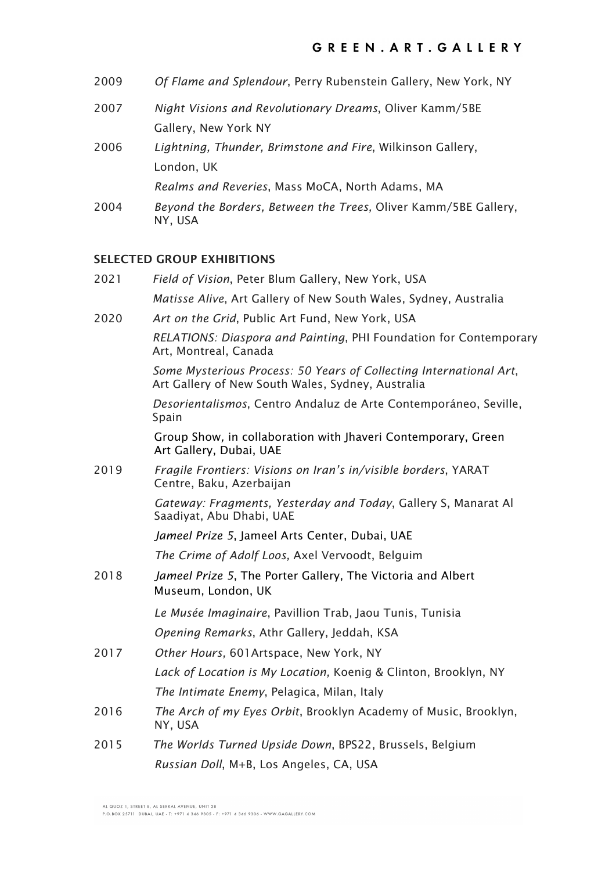| 2009 | Of Flame and Splendour, Perry Rubenstein Gallery, New York, NY             |
|------|----------------------------------------------------------------------------|
| 2007 | Night Visions and Revolutionary Dreams, Oliver Kamm/5BE                    |
|      | Gallery, New York NY                                                       |
| 2006 | Lightning, Thunder, Brimstone and Fire, Wilkinson Gallery,                 |
|      | London, UK                                                                 |
|      | Realms and Reveries, Mass MoCA, North Adams, MA                            |
| 2004 | Beyond the Borders, Between the Trees, Oliver Kamm/5BE Gallery,<br>NY, USA |

# **SELECTED GROUP EXHIBITIONS**

| 2021 | Field of Vision, Peter Blum Gallery, New York, USA                                                                      |
|------|-------------------------------------------------------------------------------------------------------------------------|
|      | Matisse Alive, Art Gallery of New South Wales, Sydney, Australia                                                        |
| 2020 | Art on the Grid, Public Art Fund, New York, USA                                                                         |
|      | RELATIONS: Diaspora and Painting, PHI Foundation for Contemporary<br>Art, Montreal, Canada                              |
|      | Some Mysterious Process: 50 Years of Collecting International Art,<br>Art Gallery of New South Wales, Sydney, Australia |
|      | Desorientalismos, Centro Andaluz de Arte Contemporáneo, Seville,<br>Spain                                               |
|      | Group Show, in collaboration with Jhaveri Contemporary, Green<br>Art Gallery, Dubai, UAE                                |
| 2019 | Fragile Frontiers: Visions on Iran's in/visible borders, YARAT<br>Centre, Baku, Azerbaijan                              |
|      | Gateway: Fragments, Yesterday and Today, Gallery S, Manarat Al<br>Saadiyat, Abu Dhabi, UAE                              |
|      | Jameel Prize 5, Jameel Arts Center, Dubai, UAE                                                                          |
|      | The Crime of Adolf Loos, Axel Vervoodt, Belguim                                                                         |
| 2018 | Jameel Prize 5, The Porter Gallery, The Victoria and Albert<br>Museum, London, UK                                       |
|      | Le Musée Imaginaire, Pavillion Trab, Jaou Tunis, Tunisia                                                                |
|      | Opening Remarks, Athr Gallery, Jeddah, KSA                                                                              |
| 2017 | Other Hours, 601 Artspace, New York, NY                                                                                 |
|      | Lack of Location is My Location, Koenig & Clinton, Brooklyn, NY                                                         |
|      | The Intimate Enemy, Pelagica, Milan, Italy                                                                              |
| 2016 | The Arch of my Eyes Orbit, Brooklyn Academy of Music, Brooklyn,<br>NY, USA                                              |
| 2015 | The Worlds Turned Upside Down, BPS22, Brussels, Belgium                                                                 |
|      | Russian Doll, M+B, Los Angeles, CA, USA                                                                                 |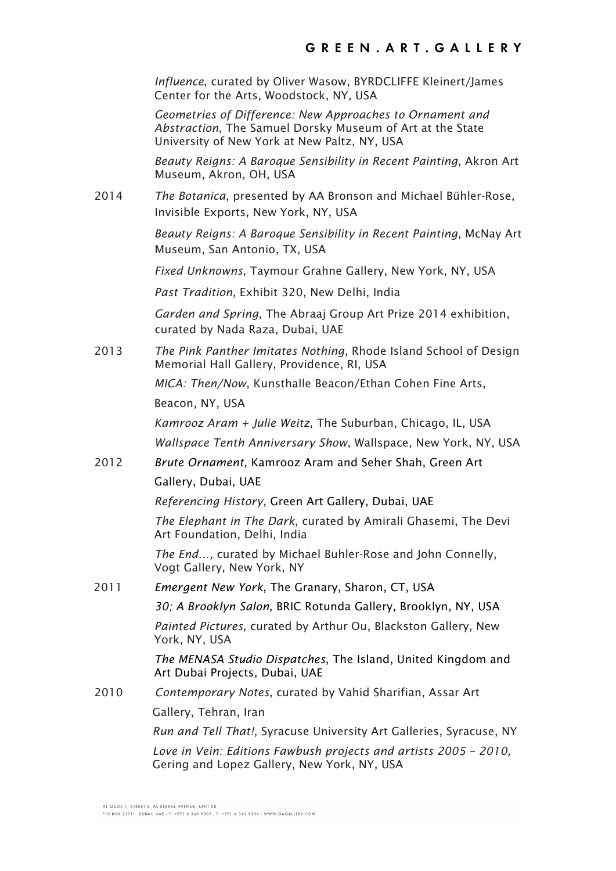*Influence*, curated by Oliver Wasow, BYRDCLIFFE Kleinert/James Center for the Arts, Woodstock, NY, USA

*Geometries of Difference: New Approaches to Ornament and Abstraction*, The Samuel Dorsky Museum of Art at the State University of New York at New Paltz, NY, USA

*Beauty Reigns: A Baroque Sensibility in Recent Painting*, Akron Art Museum, Akron, OH, USA

2014 *The Botanica*, presented by AA Bronson and Michael Bühler-Rose, Invisible Exports, New York, NY, USA

> *Beauty Reigns: A Baroque Sensibility in Recent Painting*, McNay Art Museum, San Antonio, TX, USA

*Fixed Unknowns*, Taymour Grahne Gallery, New York, NY, USA

*Past Tradition,* Exhibit 320, New Delhi, India

*Garden and Spring,* The Abraaj Group Art Prize 2014 exhibition, curated by Nada Raza, Dubai, UAE

2013 *The Pink Panther Imitates Nothing,* Rhode Island School of Design Memorial Hall Gallery, Providence, RI, USA

> *MICA: Then/Now*, Kunsthalle Beacon/Ethan Cohen Fine Arts, Beacon, NY, USA

*Kamrooz Aram + Julie Weitz*, The Suburban, Chicago, IL, USA *Wallspace Tenth Anniversary Show*, Wallspace, New York, NY, USA

2012 *Brute Ornament*, Kamrooz Aram and Seher Shah, Green Art Gallery, Dubai, UAE

*Referencing History*, Green Art Gallery, Dubai, UAE

*The Elephant in The Dark*, curated by Amirali Ghasemi, The Devi Art Foundation, Delhi, India

*The End…,* curated by Michael Buhler-Rose and John Connelly, Vogt Gallery, New York, NY

2011 *Emergent New York*, The Granary, Sharon, CT, USA

*30; A Brooklyn Salon*, BRIC Rotunda Gallery, Brooklyn, NY, USA

*Painted Pictures*, curated by Arthur Ou, Blackston Gallery, New York, NY, USA

*The MENASA Studio Dispatches*, The Island, United Kingdom and Art Dubai Projects, Dubai, UAE

2010 *Contemporary Notes*, curated by Vahid Sharifian, Assar Art Gallery, Tehran, Iran

*Run and Tell That!*, Syracuse University Art Galleries, Syracuse, NY

*Love in Vein: Editions Fawbush projects and artists 2005 – 2010,* Gering and Lopez Gallery, New York, NY, USA

P.O. BOX 25711 DUBAL UAE - T: +971 4 346 9305 - E: +971 4 346 9306 - WWW GAGAILERY COM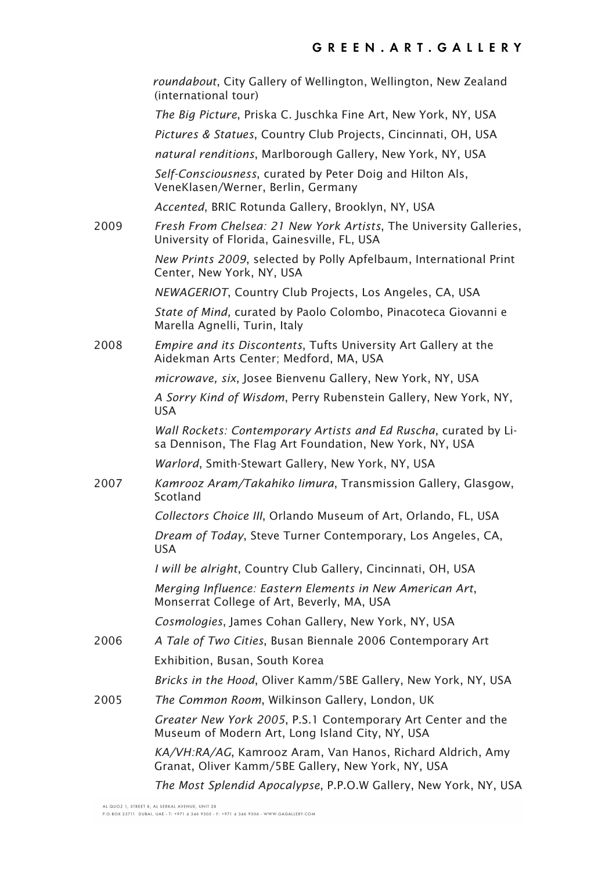*roundabout*, City Gallery of Wellington, Wellington, New Zealand (international tour) *The Big Picture*, Priska C. Juschka Fine Art, New York, NY, USA *Pictures & Statues*, Country Club Projects, Cincinnati, OH, USA *natural renditions*, Marlborough Gallery, New York, NY, USA *Self-Consciousness*, curated by Peter Doig and Hilton Als, VeneKlasen/Werner, Berlin, Germany *Accented*, BRIC Rotunda Gallery, Brooklyn, NY, USA 2009 *Fresh From Chelsea: 21 New York Artists*, The University Galleries, University of Florida, Gainesville, FL, USA *New Prints 2009*, selected by Polly Apfelbaum, International Print Center, New York, NY, USA *NEWAGERIOT*, Country Club Projects, Los Angeles, CA, USA *State of Mind,* curated by Paolo Colombo, Pinacoteca Giovanni e Marella Agnelli, Turin, Italy 2008 *Empire and its Discontents*, Tufts University Art Gallery at the Aidekman Arts Center; Medford, MA, USA *microwave, six*, Josee Bienvenu Gallery, New York, NY, USA *A Sorry Kind of Wisdom*, Perry Rubenstein Gallery, New York, NY, USA *Wall Rockets: Contemporary Artists and Ed Ruscha*, curated by Lisa Dennison, The Flag Art Foundation, New York, NY, USA *Warlord*, Smith-Stewart Gallery, New York, NY, USA 2007 *Kamrooz Aram/Takahiko Iimura*, Transmission Gallery, Glasgow, Scotland *Collectors Choice III*, Orlando Museum of Art, Orlando, FL, USA *Dream of Today*, Steve Turner Contemporary, Los Angeles, CA, USA *I will be alright*, Country Club Gallery, Cincinnati, OH, USA *Merging Influence: Eastern Elements in New American Art*, Monserrat College of Art, Beverly, MA, USA *Cosmologies*, James Cohan Gallery, New York, NY, USA 2006 *A Tale of Two Cities*, Busan Biennale 2006 Contemporary Art Exhibition, Busan, South Korea *Bricks in the Hood*, Oliver Kamm/5BE Gallery, New York, NY, USA 2005 *The Common Room*, Wilkinson Gallery, London, UK *Greater New York 2005*, P.S.1 Contemporary Art Center and the Museum of Modern Art, Long Island City, NY, USA *KA/VH:RA/AG*, Kamrooz Aram, Van Hanos, Richard Aldrich, Amy Granat, Oliver Kamm/5BE Gallery, New York, NY, USA *The Most Splendid Apocalypse*, P.P.O.W Gallery, New York, NY, USA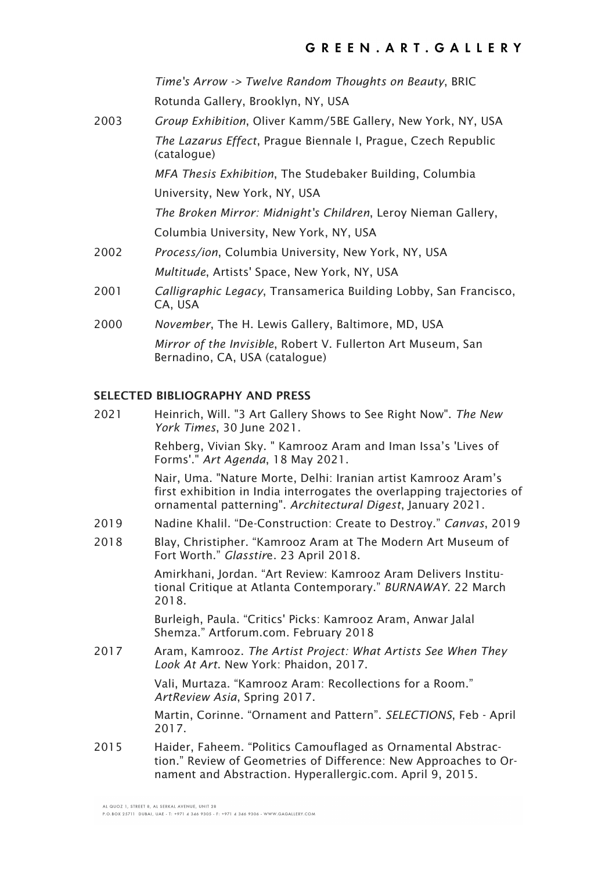*Time's Arrow -> Twelve Random Thoughts on Beauty*, BRIC Rotunda Gallery, Brooklyn, NY, USA

2003 *Group Exhibition*, Oliver Kamm/5BE Gallery, New York, NY, USA *The Lazarus Effect*, Prague Biennale I, Prague, Czech Republic (catalogue)

> *MFA Thesis Exhibition*, The Studebaker Building, Columbia University, New York, NY, USA

*The Broken Mirror: Midnight's Children*, Leroy Nieman Gallery, Columbia University, New York, NY, USA

- 2002 *Process/ion*, Columbia University, New York, NY, USA *Multitude*, Artists' Space, New York, NY, USA
- 2001 *Calligraphic Legacy*, Transamerica Building Lobby, San Francisco, CA, USA
- 2000 *November*, The H. Lewis Gallery, Baltimore, MD, USA *Mirror of the Invisible*, Robert V. Fullerton Art Museum, San Bernadino, CA, USA (catalogue)

# **SELECTED BIBLIOGRAPHY AND PRESS**

| 2021 | Heinrich, Will. "3 Art Gallery Shows to See Right Now". The New<br>York Times, 30 June 2021.                                                                                                            |
|------|---------------------------------------------------------------------------------------------------------------------------------------------------------------------------------------------------------|
|      | Rehberg, Vivian Sky. " Kamrooz Aram and Iman Issa's 'Lives of<br>Forms'." Art Agenda, 18 May 2021.                                                                                                      |
|      | Nair, Uma. "Nature Morte, Delhi: Iranian artist Kamrooz Aram's<br>first exhibition in India interrogates the overlapping trajectories of<br>ornamental patterning". Architectural Digest, January 2021. |
| 2019 | Nadine Khalil. "De-Construction: Create to Destroy." Canvas, 2019                                                                                                                                       |
| 2018 | Blay, Christipher. "Kamrooz Aram at The Modern Art Museum of<br>Fort Worth." Glasstire. 23 April 2018.                                                                                                  |
|      | Amirkhani, Jordan. "Art Review: Kamrooz Aram Delivers Institu-<br>tional Critique at Atlanta Contemporary." BURNAWAY. 22 March<br>2018.                                                                 |
|      | Burleigh, Paula. "Critics' Picks: Kamrooz Aram, Anwar Jalal<br>Shemza." Artforum.com. February 2018                                                                                                     |
| 2017 | Aram, Kamrooz. The Artist Project: What Artists See When They<br>Look At Art. New York: Phaidon, 2017.                                                                                                  |
|      | Vali, Murtaza. "Kamrooz Aram: Recollections for a Room."<br>ArtReview Asia, Spring 2017.                                                                                                                |
|      | Martin, Corinne. "Ornament and Pattern". SELECTIONS, Feb - April<br>2017.                                                                                                                               |
| 2015 | Haider, Faheem. "Politics Camouflaged as Ornamental Abstrac-<br>tion." Review of Geometries of Difference: New Approaches to Or-<br>nament and Abstraction. Hyperallergic.com. April 9, 2015.           |

ALQUOZ 1 STREET & ALSERKAL AVENUE UNIT 28

P.O.BOX 25711 DUBAI, UAE - T: +971 4 346 9305 - F: +971 4 346 9306 - WWW.GAGALLERY.COM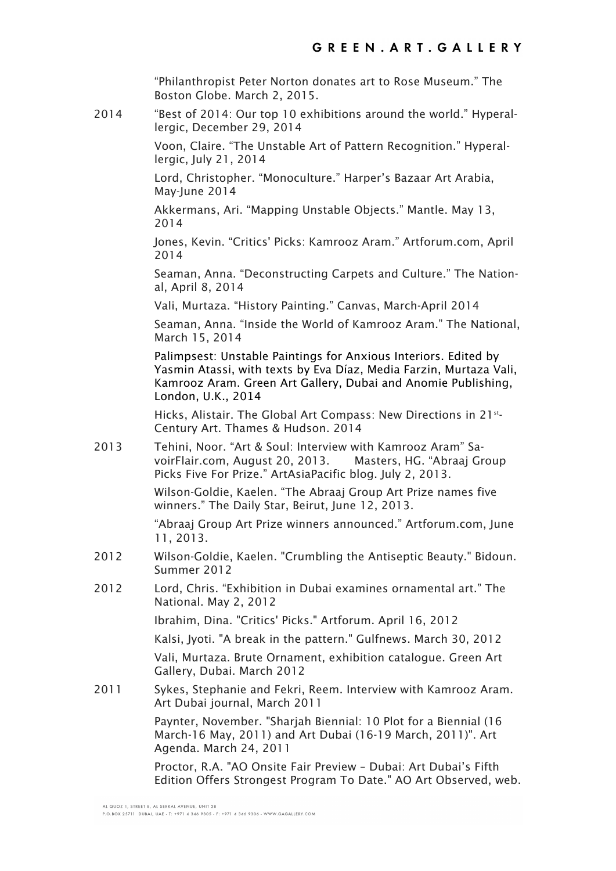"Philanthropist Peter Norton donates art to Rose Museum." The Boston Globe. March 2, 2015.

2014 "Best of 2014: Our top 10 exhibitions around the world." Hyperallergic, December 29, 2014

> Voon, Claire. "The Unstable Art of Pattern Recognition." Hyperallergic, July 21, 2014

Lord, Christopher. "Monoculture." Harper's Bazaar Art Arabia, May-June 2014

Akkermans, Ari. "Mapping Unstable Objects." Mantle. May 13, 2014

Jones, Kevin. "Critics' Picks: Kamrooz Aram." Artforum.com, April 2014

Seaman, Anna. "Deconstructing Carpets and Culture." The National, April 8, 2014

Vali, Murtaza. "History Painting." Canvas, March-April 2014

Seaman, Anna. "Inside the World of Kamrooz Aram." The National, March 15, 2014

Palimpsest: Unstable Paintings for Anxious Interiors. Edited by Yasmin Atassi, with texts by Eva Díaz, Media Farzin, Murtaza Vali, Kamrooz Aram. Green Art Gallery, Dubai and Anomie Publishing, London, U.K., 2014

Hicks, Alistair. The Global Art Compass: New Directions in 21<sup>st</sup>-Century Art. Thames & Hudson. 2014

2013 Tehini, Noor. "Art & Soul: Interview with Kamrooz Aram" SavoirFlair.com, August 20, 2013. Masters, HG. "Abraaj Group Picks Five For Prize." ArtAsiaPacific blog. July 2, 2013.

> Wilson-Goldie, Kaelen. "The Abraaj Group Art Prize names five winners." The Daily Star, Beirut, June 12, 2013.

"Abraaj Group Art Prize winners announced." Artforum.com, June 11, 2013.

- 2012 Wilson-Goldie, Kaelen. "Crumbling the Antiseptic Beauty." Bidoun. Summer 2012
- 2012 Lord, Chris. "Exhibition in Dubai examines ornamental art." The National. May 2, 2012

Ibrahim, Dina. "Critics' Picks." Artforum. April 16, 2012

Kalsi, Jyoti. "A break in the pattern." Gulfnews. March 30, 2012

Vali, Murtaza. Brute Ornament, exhibition catalogue. Green Art Gallery, Dubai. March 2012

2011 Sykes, Stephanie and Fekri, Reem. Interview with Kamrooz Aram. Art Dubai journal, March 2011

> Paynter, November, "Shariah Biennial: 10 Plot for a Biennial (16 March-16 May, 2011) and Art Dubai (16-19 March, 2011)". Art Agenda. March 24, 2011

Proctor, R.A. "AO Onsite Fair Preview – Dubai: Art Dubai's Fifth Edition Offers Strongest Program To Date." AO Art Observed, web.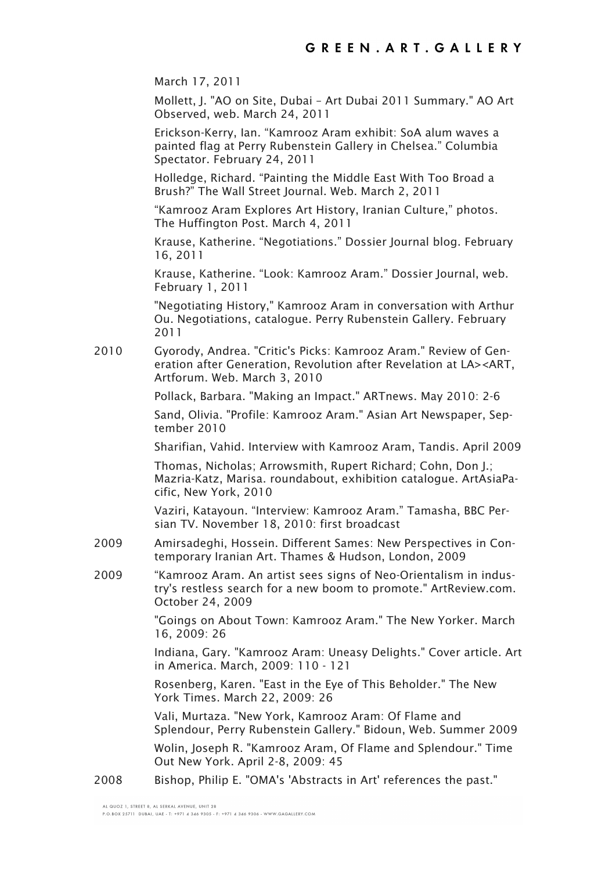March 17, 2011

Mollett, J. "AO on Site, Dubai – Art Dubai 2011 Summary." AO Art Observed, web. March 24, 2011

Erickson-Kerry, Ian. "Kamrooz Aram exhibit: SoA alum waves a painted flag at Perry Rubenstein Gallery in Chelsea." Columbia Spectator. February 24, 2011

Holledge, Richard. "Painting the Middle East With Too Broad a Brush?" The Wall Street Journal. Web. March 2, 2011

"Kamrooz Aram Explores Art History, Iranian Culture," photos. The Huffington Post. March 4, 2011

Krause, Katherine. "Negotiations." Dossier Journal blog. February 16, 2011

Krause, Katherine. "Look: Kamrooz Aram." Dossier Journal, web. February 1, 2011

"Negotiating History," Kamrooz Aram in conversation with Arthur Ou. Negotiations, catalogue. Perry Rubenstein Gallery. February 2011

2010 Gyorody, Andrea. "Critic's Picks: Kamrooz Aram." Review of Generation after Generation, Revolution after Revelation at LA><ART, Artforum. Web. March 3, 2010

Pollack, Barbara. "Making an Impact." ARTnews. May 2010: 2-6

Sand, Olivia. "Profile: Kamrooz Aram." Asian Art Newspaper, September 2010

Sharifian, Vahid. Interview with Kamrooz Aram, Tandis. April 2009

Thomas, Nicholas; Arrowsmith, Rupert Richard; Cohn, Don J.; Mazria-Katz, Marisa. roundabout, exhibition catalogue. ArtAsiaPacific, New York, 2010

Vaziri, Katayoun. "Interview: Kamrooz Aram." Tamasha, BBC Persian TV. November 18, 2010: first broadcast

- 2009 Amirsadeghi, Hossein. Different Sames: New Perspectives in Contemporary Iranian Art. Thames & Hudson, London, 2009
- 2009 "Kamrooz Aram. An artist sees signs of Neo-Orientalism in industry's restless search for a new boom to promote." ArtReview.com. October 24, 2009

"Goings on About Town: Kamrooz Aram." The New Yorker. March 16, 2009: 26

Indiana, Gary. "Kamrooz Aram: Uneasy Delights." Cover article. Art in America. March, 2009: 110 - 121

Rosenberg, Karen. "East in the Eye of This Beholder." The New York Times. March 22, 2009: 26

Vali, Murtaza. "New York, Kamrooz Aram: Of Flame and Splendour, Perry Rubenstein Gallery." Bidoun, Web. Summer 2009

Wolin, Joseph R. "Kamrooz Aram, Of Flame and Splendour." Time Out New York. April 2-8, 2009: 45

2008 Bishop, Philip E. "OMA's 'Abstracts in Art' references the past."

ALOILOZ 1 STREET & AL SERKAL AVENUE JUNIT 28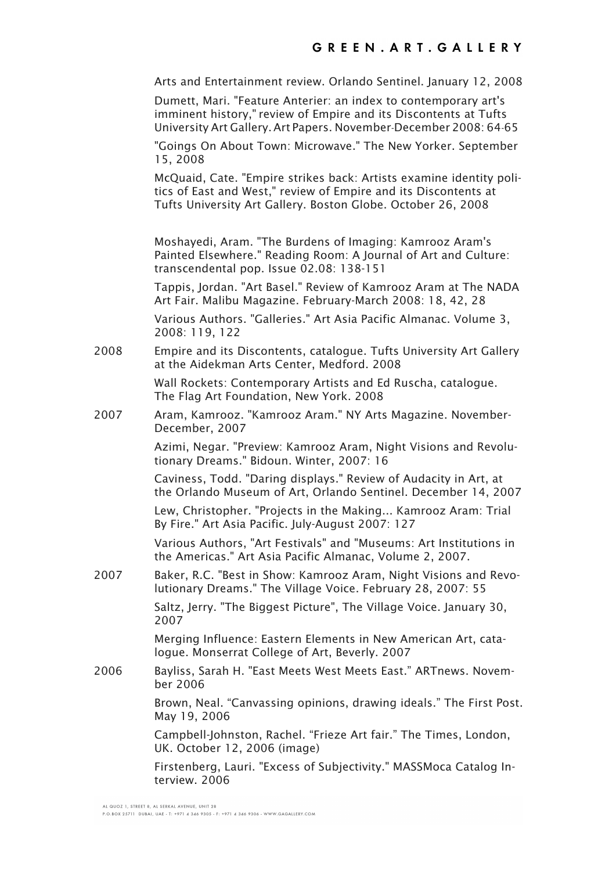Arts and Entertainment review. Orlando Sentinel. January 12, 2008

Dumett, Mari. "Feature Anterier: an index to contemporary art's imminent history," review of Empire and its Discontents at Tufts University Art Gallery.Art Papers. November-December 2008: 64-65

"Goings On About Town: Microwave." The New Yorker. September 15, 2008

McQuaid, Cate. "Empire strikes back: Artists examine identity politics of East and West," review of Empire and its Discontents at Tufts University Art Gallery. Boston Globe. October 26, 2008

Moshayedi, Aram. "The Burdens of Imaging: Kamrooz Aram's Painted Elsewhere." Reading Room: A Journal of Art and Culture: transcendental pop. Issue 02.08: 138-151

Tappis, Jordan. "Art Basel." Review of Kamrooz Aram at The NADA Art Fair. Malibu Magazine. February-March 2008: 18, 42, 28

Various Authors. "Galleries." Art Asia Pacific Almanac. Volume 3, 2008: 119, 122

2008 Empire and its Discontents, catalogue. Tufts University Art Gallery at the Aidekman Arts Center, Medford. 2008

> Wall Rockets: Contemporary Artists and Ed Ruscha, catalogue. The Flag Art Foundation, New York. 2008

2007 Aram, Kamrooz. "Kamrooz Aram." NY Arts Magazine. November-December, 2007

> Azimi, Negar. "Preview: Kamrooz Aram, Night Visions and Revolutionary Dreams." Bidoun. Winter, 2007: 16

Caviness, Todd. "Daring displays." Review of Audacity in Art, at the Orlando Museum of Art, Orlando Sentinel. December 14, 2007

Lew, Christopher. "Projects in the Making... Kamrooz Aram: Trial By Fire." Art Asia Pacific. July-August 2007: 127

Various Authors, "Art Festivals" and "Museums: Art Institutions in the Americas." Art Asia Pacific Almanac, Volume 2, 2007.

2007 Baker, R.C. "Best in Show: Kamrooz Aram, Night Visions and Revolutionary Dreams." The Village Voice. February 28, 2007: 55

> Saltz, Jerry. "The Biggest Picture", The Village Voice. January 30, 2007

> Merging Influence: Eastern Elements in New American Art, catalogue. Monserrat College of Art, Beverly. 2007

2006 Bayliss, Sarah H. "East Meets West Meets East." ARTnews. November 2006

> Brown, Neal. "Canvassing opinions, drawing ideals." The First Post. May 19, 2006

Campbell-Johnston, Rachel. "Frieze Art fair." The Times, London, UK. October 12, 2006 (image)

Firstenberg, Lauri. "Excess of Subjectivity." MASSMoca Catalog Interview. 2006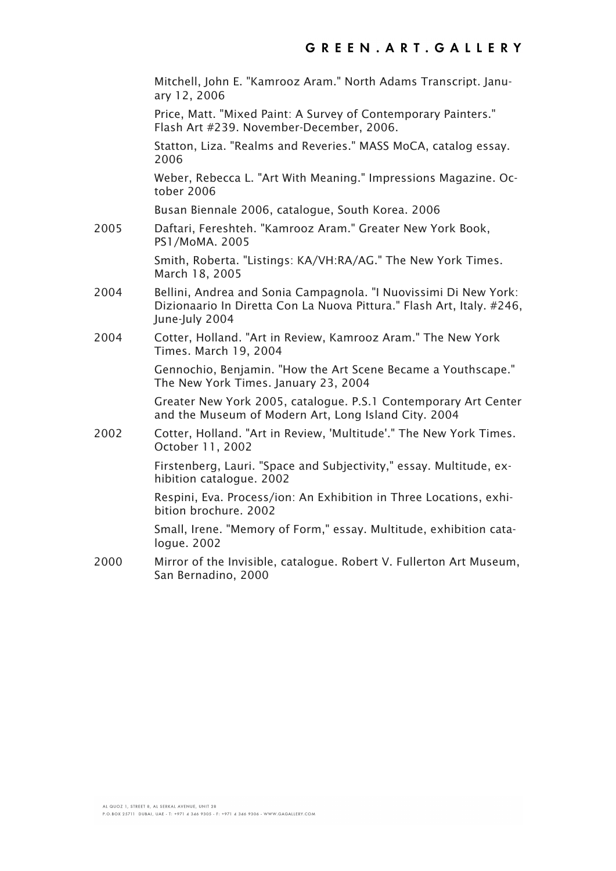Mitchell, John E. "Kamrooz Aram." North Adams Transcript. January 12, 2006

Price, Matt. "Mixed Paint: A Survey of Contemporary Painters." Flash Art #239. November-December, 2006.

Statton, Liza. "Realms and Reveries." MASS MoCA, catalog essay. 2006

Weber, Rebecca L. "Art With Meaning." Impressions Magazine. October 2006

Busan Biennale 2006, catalogue, South Korea. 2006

2005 Daftari, Fereshteh. "Kamrooz Aram." Greater New York Book, PS1/MoMA. 2005

> Smith, Roberta. "Listings: KA/VH:RA/AG." The New York Times. March 18, 2005

- 2004 Bellini, Andrea and Sonia Campagnola. "I Nuovissimi Di New York: Dizionaario In Diretta Con La Nuova Pittura." Flash Art, Italy. #246, June-July 2004
- 2004 Cotter, Holland. "Art in Review, Kamrooz Aram." The New York Times. March 19, 2004

Gennochio, Benjamin. "How the Art Scene Became a Youthscape." The New York Times. January 23, 2004

Greater New York 2005, catalogue. P.S.1 Contemporary Art Center and the Museum of Modern Art, Long Island City. 2004

2002 Cotter, Holland. "Art in Review, 'Multitude'." The New York Times. October 11, 2002

> Firstenberg, Lauri. "Space and Subjectivity," essay. Multitude, exhibition catalogue. 2002

> Respini, Eva. Process/ion: An Exhibition in Three Locations, exhibition brochure. 2002

Small, Irene. "Memory of Form," essay. Multitude, exhibition catalogue. 2002

2000 Mirror of the Invisible, catalogue. Robert V. Fullerton Art Museum, San Bernadino, 2000